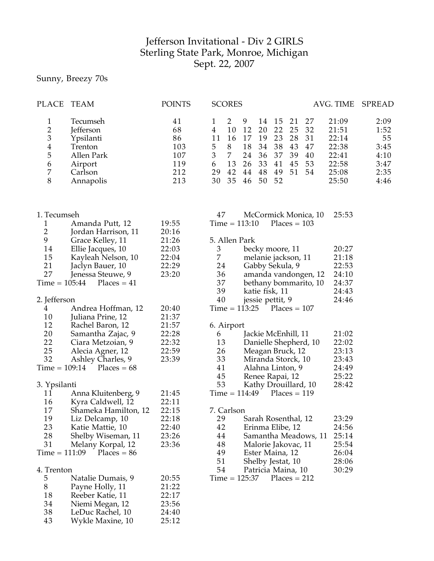## Jefferson Invitational - Div 2 GIRLS Sterling State Park, Monroe, Michigan Sept. 22, 2007

Sunny, Breezy 70s

| PLACE                                                                                             | TEAM                                                                                                                                         | <b>POINTS</b>                                      | <b>SCORES</b><br>AVG. TIME<br><b>SPREAD</b>                                                                                                                                                                                                                                                                                                                                                                                                                                                          |
|---------------------------------------------------------------------------------------------------|----------------------------------------------------------------------------------------------------------------------------------------------|----------------------------------------------------|------------------------------------------------------------------------------------------------------------------------------------------------------------------------------------------------------------------------------------------------------------------------------------------------------------------------------------------------------------------------------------------------------------------------------------------------------------------------------------------------------|
| 1<br>$\overline{2}$<br>$\ensuremath{\mathfrak{Z}}$<br>$\overline{\mathbf{4}}$<br>5<br>6<br>7<br>8 | Tecumseh<br>Jefferson<br>Ypsilanti<br>Trenton<br>Allen Park<br>Airport<br>Carlson<br>Annapolis                                               | 41<br>68<br>86<br>103<br>107<br>119<br>212<br>213  | 2<br>9<br>2:09<br>15<br>21<br>27<br>21:09<br>14<br>1<br>10<br>12<br>20<br>22<br>32<br>$\overline{4}$<br>25<br>21:51<br>1:52<br>19<br>23<br>31<br>22:14<br>55<br>11<br>16<br>17<br>28<br>5<br>8<br>18<br>38<br>43<br>22:38<br>3:45<br>34<br>47<br>$\mathfrak{Z}$<br>$\overline{7}$<br>36<br>37<br>39<br>22:41<br>24<br>40<br>4:10<br>6<br>13<br>33<br>53<br>22:58<br>26<br>41<br>45<br>3:47<br>29<br>42<br>44<br>48<br>49<br>51<br>54<br>25:08<br>2:35<br>52<br>30<br>35<br>50<br>25:50<br>46<br>4:46 |
| 1. Tecumseh<br>1<br>$\overline{2}$<br>9<br>14<br>15                                               | Amanda Putt, 12<br>Jordan Harrison, 11<br>Grace Kelley, 11<br>Ellie Jacques, 10<br>Kayleah Nelson, 10                                        | 19:55<br>20:16<br>21:26<br>22:03<br>22:04          | 47<br>McCormick Monica, 10<br>25:53<br>$Time = 113:10$<br>$Places = 103$<br>5. Allen Park<br>20:27<br>3<br>becky moore, 11<br>7<br>21:18                                                                                                                                                                                                                                                                                                                                                             |
| 21<br>27<br>$Time = 105:44$                                                                       | Jaclyn Bauer, 10<br>Jenessa Steuwe, 9<br>$Places = 41$                                                                                       | 22:29<br>23:20                                     | melanie jackson, 11<br>22:53<br>24<br>Gabby Sekula, 9<br>36<br>24:10<br>amanda vandongen, 12<br>37<br>24:37<br>bethany bommarito, 10<br>39<br>24:43<br>katie fisk, 11                                                                                                                                                                                                                                                                                                                                |
| 2. Jefferson<br>4<br>10                                                                           | Andrea Hoffman, 12<br>Juliana Prine, 12                                                                                                      | 20:40<br>21:37                                     | 40<br>24:46<br>jessie pettit, 9<br>$Time = 113:25$<br>$Places = 107$                                                                                                                                                                                                                                                                                                                                                                                                                                 |
| 12<br>20<br>22<br>25<br>32<br>$Time = 109:14$                                                     | Rachel Baron, 12<br>Samantha Zajac, 9<br>Ciara Metzoian, 9<br>Alecia Agner, 12<br>Ashley Charles, 9<br>$Places = 68$                         | 21:57<br>22:28<br>22:32<br>22:59<br>23:39          | 6. Airport<br>Jackie McEnhill, 11<br>21:02<br>6<br>Danielle Shepherd, 10<br>13<br>22:02<br>26<br>Meagan Bruck, 12<br>23:13<br>33<br>Miranda Storck, 10<br>23:43<br>24:49<br>41<br>Alahna Linton, 9                                                                                                                                                                                                                                                                                                   |
| 3. Ypsilanti<br>11                                                                                | Anna Kluitenberg, 9                                                                                                                          | 21:45                                              | 25:22<br>45<br>Renee Rapai, 12<br>53<br>28:42<br>Kathy Drouillard, 10<br>$Time = 114:49$<br>$Places = 119$                                                                                                                                                                                                                                                                                                                                                                                           |
| 16<br>17<br>19<br>23<br>28<br>31<br>$Time = 111:09$                                               | Kyra Caldwell, 12<br>Shameka Hamilton, 12<br>Liz Delcamp, 10<br>Katie Mattie, 10<br>Shelby Wiseman, 11<br>Melany Korpal, 12<br>$Places = 86$ | 22:11<br>22:15<br>22:18<br>22:40<br>23:26<br>23:36 | 7. Carlson<br>29<br>Sarah Rosenthal, 12<br>23:29<br>42<br>Erinma Elibe, 12<br>24:56<br>44<br>Samantha Meadows, 11<br>25:14<br>48<br>Malorie Jakovac, 11<br>25:54<br>49<br>Ester Maina, 12<br>26:04<br>51<br>Shelby Jestat, 10<br>28:06                                                                                                                                                                                                                                                               |
| 4. Trenton<br>5<br>8<br>18<br>34<br>38<br>43                                                      | Natalie Dumais, 9<br>Payne Holly, 11<br>Reeber Katie, 11<br>Niemi Megan, 12<br>LeDuc Rachel, 10<br>Wykle Maxine, 10                          | 20:55<br>21:22<br>22:17<br>23:56<br>24:40<br>25:12 | 30:29<br>54<br>Patricia Maina, 10<br>$Time = 125:37$<br>$Places = 212$                                                                                                                                                                                                                                                                                                                                                                                                                               |